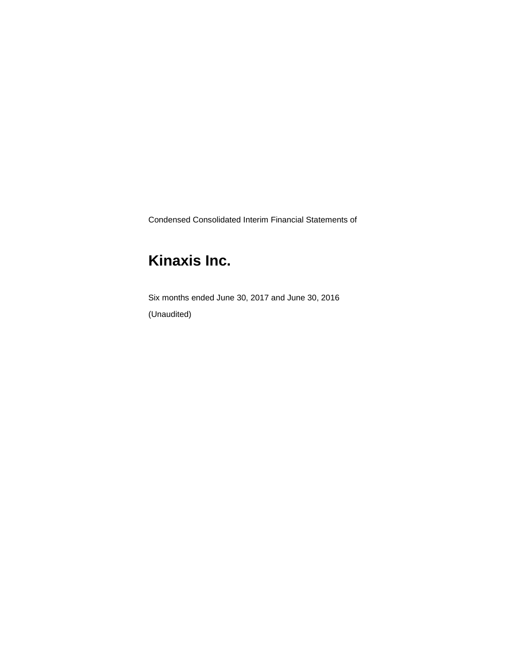Condensed Consolidated Interim Financial Statements of

# **Kinaxis Inc.**

Six months ended June 30, 2017 and June 30, 2016 (Unaudited)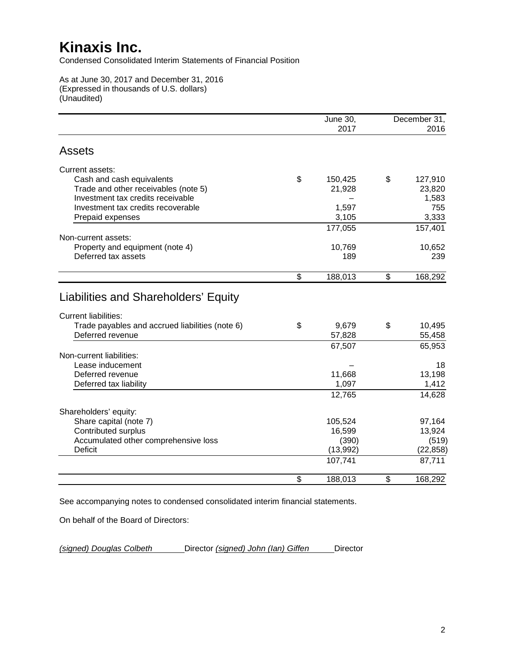Condensed Consolidated Interim Statements of Financial Position

As at June 30, 2017 and December 31, 2016 (Expressed in thousands of U.S. dollars) (Unaudited)

|                                                                                                                        | <b>June 30,</b><br>2017 | December 31,<br>2016 |
|------------------------------------------------------------------------------------------------------------------------|-------------------------|----------------------|
| <b>Assets</b>                                                                                                          |                         |                      |
| Current assets:                                                                                                        |                         |                      |
| Cash and cash equivalents                                                                                              | \$<br>150,425           | \$<br>127,910        |
| Trade and other receivables (note 5)                                                                                   | 21,928                  | 23,820               |
| Investment tax credits receivable                                                                                      |                         | 1,583                |
| Investment tax credits recoverable                                                                                     | 1,597                   | 755                  |
| Prepaid expenses                                                                                                       | 3,105                   | 3,333                |
|                                                                                                                        | 177,055                 | 157,401              |
| Non-current assets:                                                                                                    |                         |                      |
| Property and equipment (note 4)                                                                                        | 10,769                  | 10,652               |
| Deferred tax assets                                                                                                    | 189                     | 239                  |
|                                                                                                                        | \$<br>188,013           | \$<br>168,292        |
| Liabilities and Shareholders' Equity<br><b>Current liabilities:</b><br>Trade payables and accrued liabilities (note 6) | \$<br>9,679             | \$<br>10,495         |
| Deferred revenue                                                                                                       | 57,828                  | 55,458               |
|                                                                                                                        | 67,507                  | 65,953               |
| Non-current liabilities:                                                                                               |                         |                      |
| Lease inducement                                                                                                       |                         | 18                   |
| Deferred revenue                                                                                                       | 11,668                  | 13,198               |
| Deferred tax liability                                                                                                 | 1,097                   | 1,412                |
|                                                                                                                        | 12,765                  | 14,628               |
| Shareholders' equity:                                                                                                  |                         |                      |
| Share capital (note 7)                                                                                                 | 105,524                 | 97,164               |
| <b>Contributed surplus</b>                                                                                             | 16,599                  | 13,924               |
| Accumulated other comprehensive loss                                                                                   | (390)                   | (519)                |
| <b>Deficit</b>                                                                                                         | (13,992)                | (22, 858)            |
|                                                                                                                        | 107,741                 | 87,711               |
|                                                                                                                        | \$<br>188,013           | \$<br>168,292        |

See accompanying notes to condensed consolidated interim financial statements.

On behalf of the Board of Directors:

*(signed) Douglas Colbeth* Director *(signed) John (Ian) Giffen* Director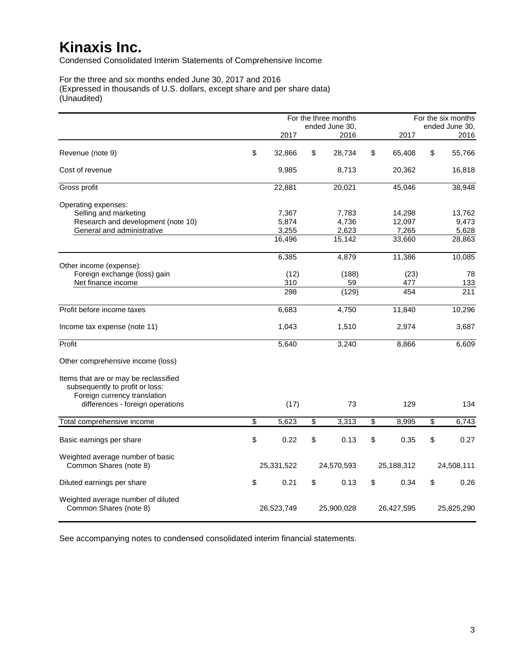Condensed Consolidated Interim Statements of Comprehensive Income

For the three and six months ended June 30, 2017 and 2016 (Expressed in thousands of U.S. dollars, except share and per share data) (Unaudited)

|                                                                                                          |              | For the three months |                         |            |                         | For the six months |
|----------------------------------------------------------------------------------------------------------|--------------|----------------------|-------------------------|------------|-------------------------|--------------------|
|                                                                                                          |              | ended June 30,       |                         |            |                         | ended June 30,     |
|                                                                                                          | 2017         | 2016                 |                         | 2017       |                         | 2016               |
| Revenue (note 9)                                                                                         | \$<br>32,866 | \$<br>28,734         | \$                      | 65,408     | \$                      | 55,766             |
| Cost of revenue                                                                                          | 9,985        | 8,713                |                         | 20,362     |                         | 16,818             |
| Gross profit                                                                                             | 22,881       | 20,021               |                         | 45,046     |                         | 38,948             |
| Operating expenses:<br>Selling and marketing                                                             | 7,367        | 7,783                |                         | 14,298     |                         | 13,762             |
| Research and development (note 10)                                                                       | 5,874        | 4,736                |                         | 12,097     |                         | 9,473              |
| General and administrative                                                                               | 3,255        | 2,623                |                         | 7,265      |                         | 5,628              |
|                                                                                                          | 16,496       | 15,142               |                         | 33,660     |                         | 28,863             |
| Other income (expense):                                                                                  | 6,385        | 4,879                |                         | 11,386     |                         | 10,085             |
| Foreign exchange (loss) gain                                                                             | (12)         | (188)                |                         | (23)       |                         | 78                 |
| Net finance income                                                                                       | 310          | 59                   |                         | 477        |                         | 133                |
|                                                                                                          | 298          | (129)                |                         | 454        |                         | 211                |
| Profit before income taxes                                                                               | 6,683        | 4,750                |                         | 11,840     |                         | 10,296             |
| Income tax expense (note 11)                                                                             | 1,043        | 1,510                |                         | 2,974      |                         | 3,687              |
| Profit                                                                                                   | 5,640        | 3,240                |                         | 8,866      |                         | 6,609              |
| Other comprehensive income (loss)                                                                        |              |                      |                         |            |                         |                    |
| Items that are or may be reclassified<br>subsequently to profit or loss:<br>Foreign currency translation |              |                      |                         |            |                         |                    |
| differences - foreign operations                                                                         | (17)         | 73                   |                         | 129        |                         | 134                |
| Total comprehensive income                                                                               | \$<br>5,623  | \$<br>3,313          | $\overline{\mathbb{S}}$ | 8,995      | $\overline{\mathbf{S}}$ | 6,743              |
| Basic earnings per share                                                                                 | \$<br>0.22   | \$<br>0.13           | \$                      | 0.35       | $\mathbb{S}$            | 0.27               |
| Weighted average number of basic<br>Common Shares (note 8)                                               | 25,331,522   | 24,570,593           |                         | 25,188,312 |                         | 24,508,111         |
| Diluted earnings per share                                                                               | \$<br>0.21   | \$<br>0.13           | \$                      | 0.34       | \$                      | 0.26               |
| Weighted average number of diluted<br>Common Shares (note 8)                                             | 26,523,749   | 25,900,028           |                         | 26,427,595 |                         | 25,825,290         |

See accompanying notes to condensed consolidated interim financial statements.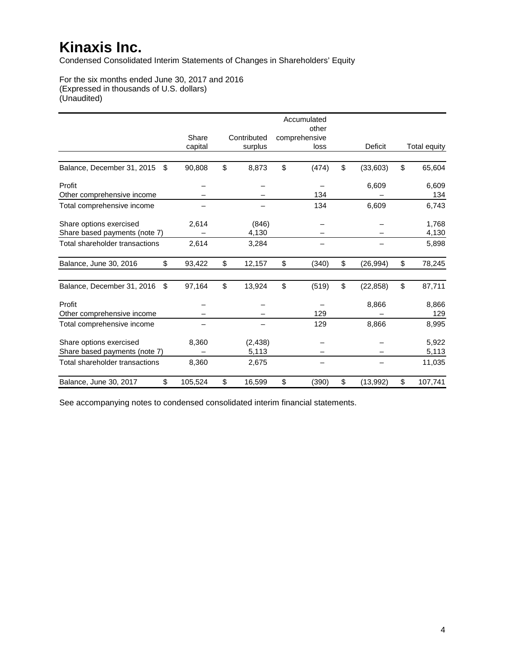Condensed Consolidated Interim Statements of Changes in Shareholders' Equity

For the six months ended June 30, 2017 and 2016 (Expressed in thousands of U.S. dollars) (Unaudited)

|                                  |         |              | Accumulated<br>other |                 |               |
|----------------------------------|---------|--------------|----------------------|-----------------|---------------|
|                                  | Share   | Contributed  | comprehensive        |                 |               |
|                                  | capital | surplus      | loss                 | Deficit         | Total equity  |
| Balance, December 31, 2015<br>\$ | 90,808  | \$<br>8,873  | \$<br>(474)          | \$<br>(33,603)  | \$<br>65,604  |
| Profit                           |         |              |                      | 6,609           | 6,609         |
| Other comprehensive income       |         |              | 134                  |                 | 134           |
| Total comprehensive income       |         |              | 134                  | 6,609           | 6,743         |
| Share options exercised          | 2,614   | (846)        |                      |                 | 1,768         |
| Share based payments (note 7)    |         | 4,130        |                      |                 | 4,130         |
| Total shareholder transactions   | 2,614   | 3,284        |                      |                 | 5,898         |
| Balance, June 30, 2016<br>\$     | 93,422  | \$<br>12,157 | \$<br>(340)          | \$<br>(26, 994) | \$<br>78,245  |
| Balance, December 31, 2016<br>\$ | 97,164  | \$<br>13,924 | \$<br>(519)          | \$<br>(22, 858) | \$<br>87,711  |
| Profit                           |         |              |                      | 8,866           | 8,866         |
| Other comprehensive income       |         |              | 129                  |                 | 129           |
| Total comprehensive income       |         |              | 129                  | 8,866           | 8,995         |
| Share options exercised          | 8,360   | (2, 438)     |                      |                 | 5,922         |
| Share based payments (note 7)    |         | 5,113        |                      |                 | 5,113         |
| Total shareholder transactions   | 8,360   | 2,675        |                      |                 | 11,035        |
| \$<br>Balance, June 30, 2017     | 105,524 | \$<br>16,599 | \$<br>(390)          | \$<br>(13, 992) | \$<br>107,741 |

See accompanying notes to condensed consolidated interim financial statements.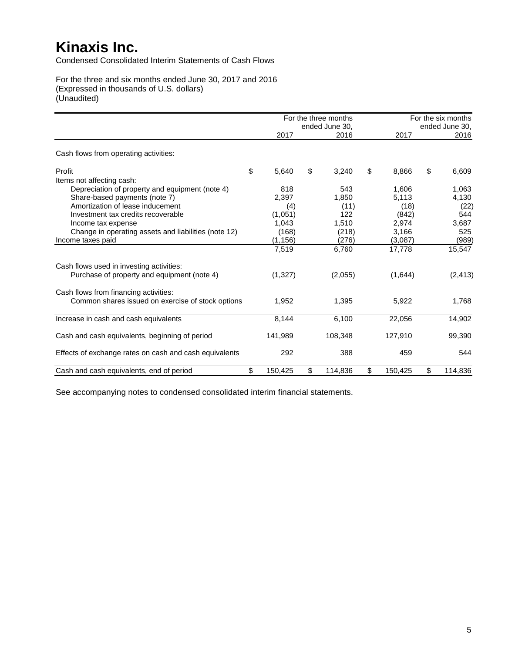Condensed Consolidated Interim Statements of Cash Flows

For the three and six months ended June 30, 2017 and 2016 (Expressed in thousands of U.S. dollars) (Unaudited)

|                                                        |               | For the three months<br>ended June 30, |               | For the six months<br>ended June 30, |
|--------------------------------------------------------|---------------|----------------------------------------|---------------|--------------------------------------|
|                                                        | 2017          | 2016                                   | 2017          | 2016                                 |
| Cash flows from operating activities:                  |               |                                        |               |                                      |
| Profit                                                 | \$<br>5,640   | \$<br>3,240                            | \$<br>8.866   | \$<br>6,609                          |
| Items not affecting cash:                              |               |                                        |               |                                      |
| Depreciation of property and equipment (note 4)        | 818           | 543                                    | 1,606         | 1,063                                |
| Share-based payments (note 7)                          | 2,397         | 1,850                                  | 5,113         | 4,130                                |
| Amortization of lease inducement                       | (4)           | (11)                                   | (18)          | (22)                                 |
| Investment tax credits recoverable                     | (1,051)       | 122                                    | (842)         | 544                                  |
| Income tax expense                                     | 1,043         | 1,510                                  | 2,974         | 3,687                                |
| Change in operating assets and liabilities (note 12)   | (168)         | (218)                                  | 3.166         | 525                                  |
| Income taxes paid                                      | (1, 156)      | (276)                                  | (3,087)       | (989)                                |
|                                                        | 7,519         | 6,760                                  | 17,778        | 15,547                               |
| Cash flows used in investing activities:               |               |                                        |               |                                      |
| Purchase of property and equipment (note 4)            | (1,327)       | (2,055)                                | (1,644)       | (2, 413)                             |
| Cash flows from financing activities:                  |               |                                        |               |                                      |
| Common shares issued on exercise of stock options      | 1,952         | 1,395                                  | 5,922         | 1,768                                |
| Increase in cash and cash equivalents                  | 8,144         | 6,100                                  | 22,056        | 14,902                               |
| Cash and cash equivalents, beginning of period         | 141,989       | 108.348                                | 127,910       | 99,390                               |
|                                                        | 292           | 388                                    | 459           | 544                                  |
| Effects of exchange rates on cash and cash equivalents |               |                                        |               |                                      |
| Cash and cash equivalents, end of period               | \$<br>150,425 | \$<br>114,836                          | \$<br>150,425 | \$<br>114,836                        |

See accompanying notes to condensed consolidated interim financial statements.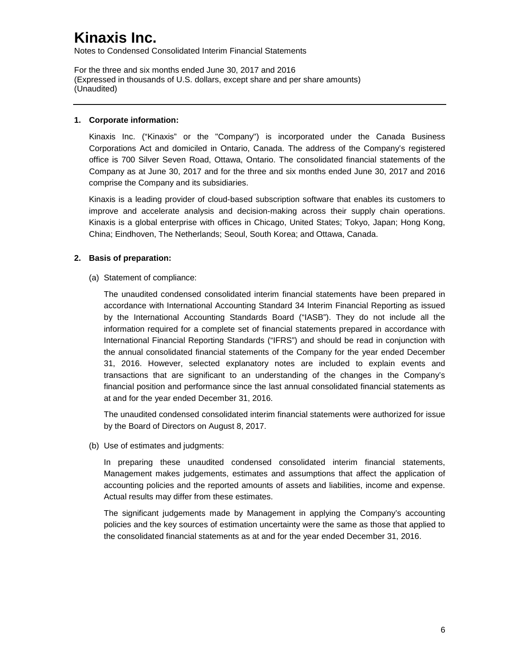Notes to Condensed Consolidated Interim Financial Statements

For the three and six months ended June 30, 2017 and 2016 (Expressed in thousands of U.S. dollars, except share and per share amounts) (Unaudited)

### **1. Corporate information:**

Kinaxis Inc. ("Kinaxis" or the "Company") is incorporated under the Canada Business Corporations Act and domiciled in Ontario, Canada. The address of the Company's registered office is 700 Silver Seven Road, Ottawa, Ontario. The consolidated financial statements of the Company as at June 30, 2017 and for the three and six months ended June 30, 2017 and 2016 comprise the Company and its subsidiaries.

Kinaxis is a leading provider of cloud-based subscription software that enables its customers to improve and accelerate analysis and decision-making across their supply chain operations. Kinaxis is a global enterprise with offices in Chicago, United States; Tokyo, Japan; Hong Kong, China; Eindhoven, The Netherlands; Seoul, South Korea; and Ottawa, Canada.

### **2. Basis of preparation:**

(a) Statement of compliance:

The unaudited condensed consolidated interim financial statements have been prepared in accordance with International Accounting Standard 34 Interim Financial Reporting as issued by the International Accounting Standards Board ("IASB"). They do not include all the information required for a complete set of financial statements prepared in accordance with International Financial Reporting Standards ("IFRS") and should be read in conjunction with the annual consolidated financial statements of the Company for the year ended December 31, 2016. However, selected explanatory notes are included to explain events and transactions that are significant to an understanding of the changes in the Company's financial position and performance since the last annual consolidated financial statements as at and for the year ended December 31, 2016.

The unaudited condensed consolidated interim financial statements were authorized for issue by the Board of Directors on August 8, 2017.

(b) Use of estimates and judgments:

In preparing these unaudited condensed consolidated interim financial statements, Management makes judgements, estimates and assumptions that affect the application of accounting policies and the reported amounts of assets and liabilities, income and expense. Actual results may differ from these estimates.

The significant judgements made by Management in applying the Company's accounting policies and the key sources of estimation uncertainty were the same as those that applied to the consolidated financial statements as at and for the year ended December 31, 2016.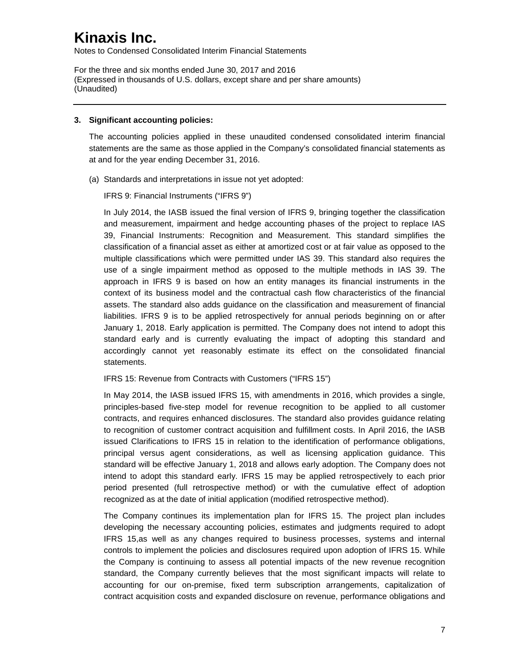Notes to Condensed Consolidated Interim Financial Statements

For the three and six months ended June 30, 2017 and 2016 (Expressed in thousands of U.S. dollars, except share and per share amounts) (Unaudited)

#### **3. Significant accounting policies:**

The accounting policies applied in these unaudited condensed consolidated interim financial statements are the same as those applied in the Company's consolidated financial statements as at and for the year ending December 31, 2016.

(a) Standards and interpretations in issue not yet adopted:

IFRS 9: Financial Instruments ("IFRS 9")

In July 2014, the IASB issued the final version of IFRS 9, bringing together the classification and measurement, impairment and hedge accounting phases of the project to replace IAS 39, Financial Instruments: Recognition and Measurement. This standard simplifies the classification of a financial asset as either at amortized cost or at fair value as opposed to the multiple classifications which were permitted under IAS 39. This standard also requires the use of a single impairment method as opposed to the multiple methods in IAS 39. The approach in IFRS 9 is based on how an entity manages its financial instruments in the context of its business model and the contractual cash flow characteristics of the financial assets. The standard also adds guidance on the classification and measurement of financial liabilities. IFRS 9 is to be applied retrospectively for annual periods beginning on or after January 1, 2018. Early application is permitted. The Company does not intend to adopt this standard early and is currently evaluating the impact of adopting this standard and accordingly cannot yet reasonably estimate its effect on the consolidated financial statements.

IFRS 15: Revenue from Contracts with Customers ("IFRS 15")

In May 2014, the IASB issued IFRS 15, with amendments in 2016, which provides a single, principles-based five-step model for revenue recognition to be applied to all customer contracts, and requires enhanced disclosures. The standard also provides guidance relating to recognition of customer contract acquisition and fulfillment costs. In April 2016, the IASB issued Clarifications to IFRS 15 in relation to the identification of performance obligations, principal versus agent considerations, as well as licensing application guidance. This standard will be effective January 1, 2018 and allows early adoption. The Company does not intend to adopt this standard early. IFRS 15 may be applied retrospectively to each prior period presented (full retrospective method) or with the cumulative effect of adoption recognized as at the date of initial application (modified retrospective method).

The Company continues its implementation plan for IFRS 15. The project plan includes developing the necessary accounting policies, estimates and judgments required to adopt IFRS 15,as well as any changes required to business processes, systems and internal controls to implement the policies and disclosures required upon adoption of IFRS 15. While the Company is continuing to assess all potential impacts of the new revenue recognition standard, the Company currently believes that the most significant impacts will relate to accounting for our on-premise, fixed term subscription arrangements, capitalization of contract acquisition costs and expanded disclosure on revenue, performance obligations and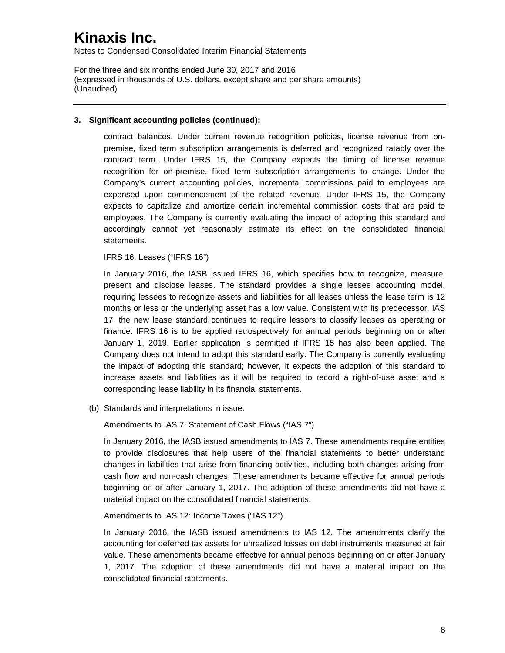Notes to Condensed Consolidated Interim Financial Statements

For the three and six months ended June 30, 2017 and 2016 (Expressed in thousands of U.S. dollars, except share and per share amounts) (Unaudited)

### **3. Significant accounting policies (continued):**

contract balances. Under current revenue recognition policies, license revenue from onpremise, fixed term subscription arrangements is deferred and recognized ratably over the contract term. Under IFRS 15, the Company expects the timing of license revenue recognition for on-premise, fixed term subscription arrangements to change. Under the Company's current accounting policies, incremental commissions paid to employees are expensed upon commencement of the related revenue. Under IFRS 15, the Company expects to capitalize and amortize certain incremental commission costs that are paid to employees. The Company is currently evaluating the impact of adopting this standard and accordingly cannot yet reasonably estimate its effect on the consolidated financial statements.

#### IFRS 16: Leases ("IFRS 16")

In January 2016, the IASB issued IFRS 16, which specifies how to recognize, measure, present and disclose leases. The standard provides a single lessee accounting model, requiring lessees to recognize assets and liabilities for all leases unless the lease term is 12 months or less or the underlying asset has a low value. Consistent with its predecessor, IAS 17, the new lease standard continues to require lessors to classify leases as operating or finance. IFRS 16 is to be applied retrospectively for annual periods beginning on or after January 1, 2019. Earlier application is permitted if IFRS 15 has also been applied. The Company does not intend to adopt this standard early. The Company is currently evaluating the impact of adopting this standard; however, it expects the adoption of this standard to increase assets and liabilities as it will be required to record a right-of-use asset and a corresponding lease liability in its financial statements.

(b) Standards and interpretations in issue:

Amendments to IAS 7: Statement of Cash Flows ("IAS 7")

In January 2016, the IASB issued amendments to IAS 7. These amendments require entities to provide disclosures that help users of the financial statements to better understand changes in liabilities that arise from financing activities, including both changes arising from cash flow and non-cash changes. These amendments became effective for annual periods beginning on or after January 1, 2017. The adoption of these amendments did not have a material impact on the consolidated financial statements.

#### Amendments to IAS 12: Income Taxes ("IAS 12")

In January 2016, the IASB issued amendments to IAS 12. The amendments clarify the accounting for deferred tax assets for unrealized losses on debt instruments measured at fair value. These amendments became effective for annual periods beginning on or after January 1, 2017. The adoption of these amendments did not have a material impact on the consolidated financial statements.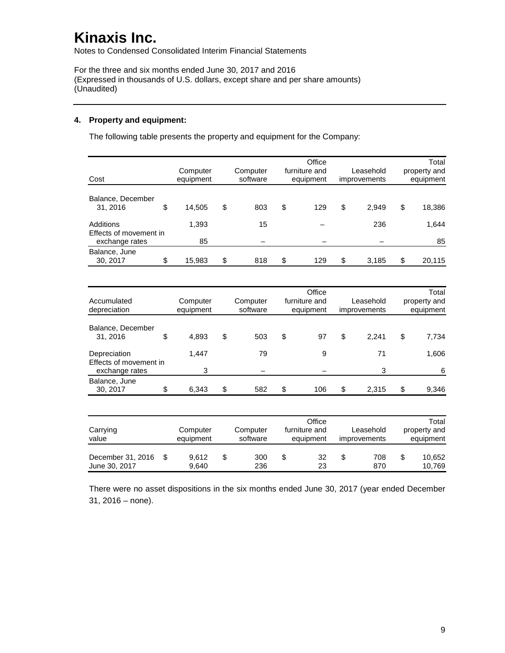Notes to Condensed Consolidated Interim Financial Statements

For the three and six months ended June 30, 2017 and 2016 (Expressed in thousands of U.S. dollars, except share and per share amounts) (Unaudited)

### **4. Property and equipment:**

The following table presents the property and equipment for the Company:

| Cost                                                  | Computer<br>equipment | Computer<br>software | Office<br>furniture and<br>equipment | Leasehold<br>improvements | Total<br>property and<br>equipment |
|-------------------------------------------------------|-----------------------|----------------------|--------------------------------------|---------------------------|------------------------------------|
| Balance, December<br>31, 2016                         | \$<br>14,505          | \$<br>803            | \$<br>129                            | \$<br>2,949               | \$<br>18,386                       |
| Additions<br>Effects of movement in<br>exchange rates | 1,393<br>85           | 15                   |                                      | 236                       | 1,644<br>85                        |
| Balance, June<br>30, 2017                             | \$<br>15,983          | \$<br>818            | \$<br>129                            | \$<br>3,185               | \$<br>20,115                       |

| Accumulated<br>depreciation                              | Computer<br>equipment | Computer<br>software | Office<br>furniture and<br>equipment | Leasehold<br>improvements | Total<br>property and<br>equipment |
|----------------------------------------------------------|-----------------------|----------------------|--------------------------------------|---------------------------|------------------------------------|
| Balance, December<br>31, 2016                            | \$<br>4.893           | \$<br>503            | \$<br>97                             | \$<br>2,241               | \$<br>7.734                        |
| Depreciation<br>Effects of movement in<br>exchange rates | 1.447<br>3            | 79                   | 9                                    | 71<br>3                   | 1,606<br>6                         |
| Balance, June<br>30, 2017                                | \$<br>6,343           | \$<br>582            | \$<br>106                            | \$<br>2,315               | \$<br>9,346                        |

| Carrying<br>value                  |  |                | Computer<br>Computer<br>software<br>equipment |            | Office<br>furniture and<br>equipment | Leasehold<br>improvements |            |    | Total<br>property and<br>equipment |
|------------------------------------|--|----------------|-----------------------------------------------|------------|--------------------------------------|---------------------------|------------|----|------------------------------------|
| December 31, 2016<br>June 30, 2017 |  | 9.612<br>9.640 | S                                             | 300<br>236 | 32<br>23                             |                           | 708<br>870 | \$ | 10,652<br>10.769                   |

There were no asset dispositions in the six months ended June 30, 2017 (year ended December 31, 2016 – none).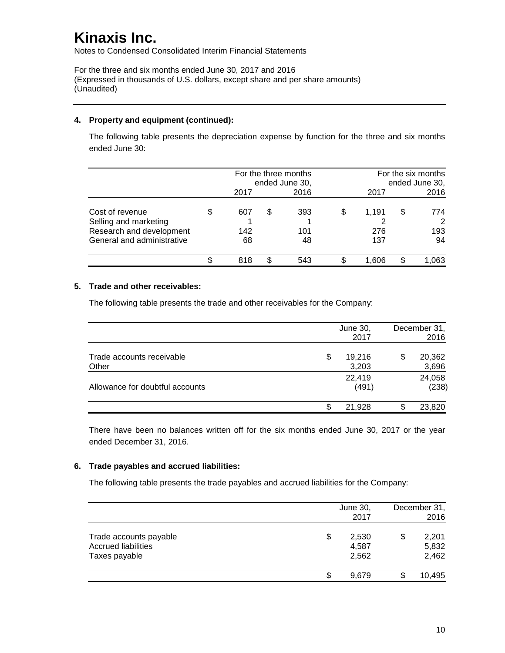Notes to Condensed Consolidated Interim Financial Statements

For the three and six months ended June 30, 2017 and 2016 (Expressed in thousands of U.S. dollars, except share and per share amounts) (Unaudited)

### **4. Property and equipment (continued):**

The following table presents the depreciation expense by function for the three and six months ended June 30:

|                                                                                                    |                  |   | For the three months<br>ended June 30, | For the six months<br>ended June 30, |    |                       |  |
|----------------------------------------------------------------------------------------------------|------------------|---|----------------------------------------|--------------------------------------|----|-----------------------|--|
|                                                                                                    | 2017             |   | 2016                                   | 2017                                 |    | 2016                  |  |
| Cost of revenue<br>Selling and marketing<br>Research and development<br>General and administrative | 607<br>142<br>68 | S | 393<br>101<br>48                       | \$<br>1,191<br>276<br>137            | \$ | 774<br>2<br>193<br>94 |  |
|                                                                                                    | 818              | S | 543                                    | 1.606                                |    | ,063                  |  |

### **5. Trade and other receivables:**

The following table presents the trade and other receivables for the Company:

|                                    | June 30,<br>2017      | December 31,<br>2016  |
|------------------------------------|-----------------------|-----------------------|
| Trade accounts receivable<br>Other | \$<br>19,216<br>3,203 | \$<br>20,362<br>3,696 |
| Allowance for doubtful accounts    | 22,419<br>(491)       | 24,058<br>(238)       |
|                                    | \$<br>21,928          | 23,820                |

There have been no balances written off for the six months ended June 30, 2017 or the year ended December 31, 2016.

#### **6. Trade payables and accrued liabilities:**

The following table presents the trade payables and accrued liabilities for the Company:

|                                                                       | June 30,<br>2017              | December 31,<br>2016          |
|-----------------------------------------------------------------------|-------------------------------|-------------------------------|
| Trade accounts payable<br><b>Accrued liabilities</b><br>Taxes payable | \$<br>2,530<br>4,587<br>2,562 | \$<br>2,201<br>5,832<br>2,462 |
|                                                                       | \$<br>9.679                   | 10,495                        |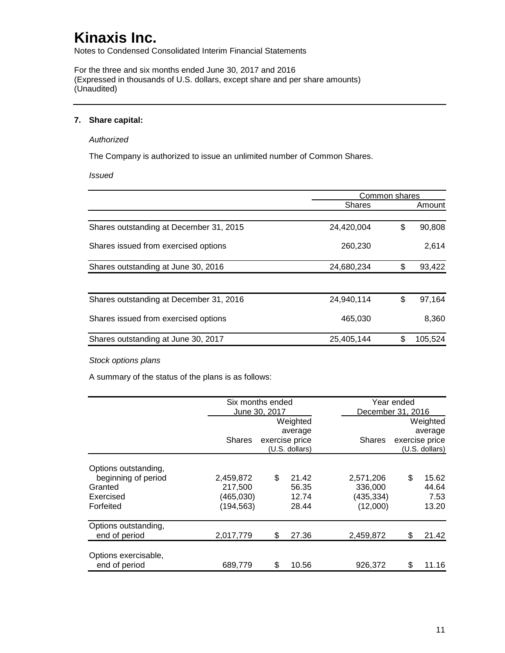Notes to Condensed Consolidated Interim Financial Statements

For the three and six months ended June 30, 2017 and 2016 (Expressed in thousands of U.S. dollars, except share and per share amounts) (Unaudited)

### **7. Share capital:**

#### *Authorized*

The Company is authorized to issue an unlimited number of Common Shares.

*Issued*

|                                         |               | Common shares |         |
|-----------------------------------------|---------------|---------------|---------|
|                                         | <b>Shares</b> |               | Amount  |
|                                         |               |               |         |
| Shares outstanding at December 31, 2015 | 24,420,004    | \$            | 90,808  |
| Shares issued from exercised options    | 260,230       |               | 2,614   |
| Shares outstanding at June 30, 2016     | 24,680,234    | \$            | 93,422  |
|                                         |               |               |         |
| Shares outstanding at December 31, 2016 | 24,940,114    | \$            | 97,164  |
| Shares issued from exercised options    | 465,030       |               | 8,360   |
| Shares outstanding at June 30, 2017     | 25,405,144    | \$            | 105,524 |

#### *Stock options plans*

A summary of the status of the plans is as follows:

|                                       | Six months ended |               |                                  |               | Year ended        |                                  |  |
|---------------------------------------|------------------|---------------|----------------------------------|---------------|-------------------|----------------------------------|--|
|                                       |                  | June 30, 2017 |                                  |               | December 31, 2016 |                                  |  |
|                                       |                  |               | Weighted                         |               |                   | Weighted                         |  |
|                                       |                  | average       |                                  |               |                   |                                  |  |
|                                       | <b>Shares</b>    |               | exercise price<br>(U.S. dollars) | <b>Shares</b> |                   | exercise price<br>(U.S. dollars) |  |
| Options outstanding,                  |                  |               |                                  |               |                   |                                  |  |
| beginning of period                   | 2,459,872        | \$            | 21.42                            | 2,571,206     | \$                | 15.62                            |  |
| Granted                               | 217,500          |               | 56.35                            | 336,000       |                   | 44.64                            |  |
| Exercised                             | (465,030)        |               | 12.74                            | (435,334)     |                   | 7.53                             |  |
| Forfeited                             | (194, 563)       |               | 28.44                            | (12,000)      |                   | 13.20                            |  |
| Options outstanding,<br>end of period | 2,017,779        | \$            | 27.36                            | 2,459,872     | S                 | 21.42                            |  |
| Options exercisable,                  |                  |               |                                  |               |                   |                                  |  |
| end of period                         | 689,779          | \$            | 10.56                            | 926,372       | \$                | 11.16                            |  |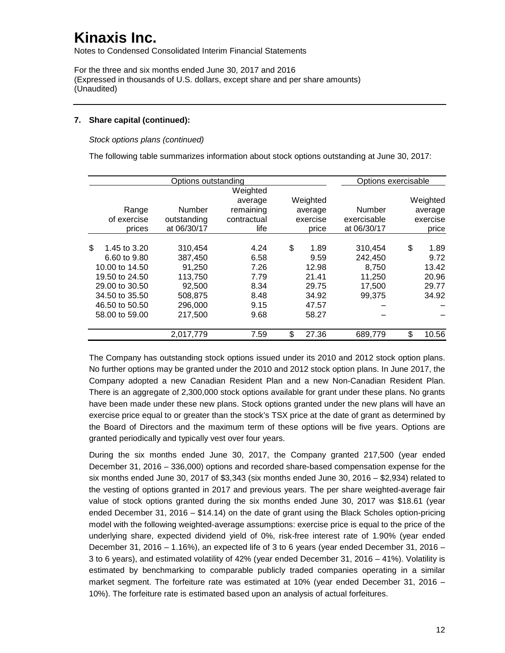Notes to Condensed Consolidated Interim Financial Statements

For the three and six months ended June 30, 2017 and 2016 (Expressed in thousands of U.S. dollars, except share and per share amounts) (Unaudited)

### **7. Share capital (continued):**

*Stock options plans (continued)*

The following table summarizes information about stock options outstanding at June 30, 2017:

|                    | Options outstanding |             |             | Options exercisable |             |
|--------------------|---------------------|-------------|-------------|---------------------|-------------|
|                    |                     | Weighted    |             |                     |             |
|                    |                     | average     | Weighted    |                     | Weighted    |
| Range              | Number              | remaining   | average     | Number              | average     |
| of exercise        | outstanding         | contractual | exercise    | exercisable         | exercise    |
| prices             | at 06/30/17         | life        | price       | at 06/30/17         | price       |
|                    |                     |             |             |                     |             |
| \$<br>1.45 to 3.20 | 310,454             | 4.24        | \$<br>1.89  | 310,454             | \$<br>1.89  |
| 6.60 to 9.80       | 387,450             | 6.58        | 9.59        | 242,450             | 9.72        |
| 10.00 to 14.50     | 91,250              | 7.26        | 12.98       | 8.750               | 13.42       |
| 19.50 to 24.50     | 113,750             | 7.79        | 21.41       | 11,250              | 20.96       |
| 29.00 to 30.50     | 92,500              | 8.34        | 29.75       | 17.500              | 29.77       |
| 34,50 to 35,50     | 508,875             | 8.48        | 34.92       | 99.375              | 34.92       |
| 46.50 to 50.50     | 296,000             | 9.15        | 47.57       |                     |             |
| 58.00 to 59.00     | 217,500             | 9.68        | 58.27       |                     |             |
|                    | 2,017,779           | 7.59        | \$<br>27.36 | 689,779             | \$<br>10.56 |

The Company has outstanding stock options issued under its 2010 and 2012 stock option plans. No further options may be granted under the 2010 and 2012 stock option plans. In June 2017, the Company adopted a new Canadian Resident Plan and a new Non-Canadian Resident Plan. There is an aggregate of 2,300,000 stock options available for grant under these plans. No grants have been made under these new plans. Stock options granted under the new plans will have an exercise price equal to or greater than the stock's TSX price at the date of grant as determined by the Board of Directors and the maximum term of these options will be five years. Options are granted periodically and typically vest over four years.

During the six months ended June 30, 2017, the Company granted 217,500 (year ended December 31, 2016 – 336,000) options and recorded share-based compensation expense for the six months ended June 30, 2017 of \$3,343 (six months ended June 30, 2016  $-$  \$2,934) related to the vesting of options granted in 2017 and previous years. The per share weighted-average fair value of stock options granted during the six months ended June 30, 2017 was \$18.61 (year ended December 31, 2016 – \$14.14) on the date of grant using the Black Scholes option-pricing model with the following weighted-average assumptions: exercise price is equal to the price of the underlying share, expected dividend yield of 0%, risk-free interest rate of 1.90% (year ended December 31, 2016 – 1.16%), an expected life of 3 to 6 years (year ended December 31, 2016 – 3 to 6 years), and estimated volatility of 42% (year ended December 31, 2016 – 41%). Volatility is estimated by benchmarking to comparable publicly traded companies operating in a similar market segment. The forfeiture rate was estimated at 10% (year ended December 31, 2016 – 10%). The forfeiture rate is estimated based upon an analysis of actual forfeitures.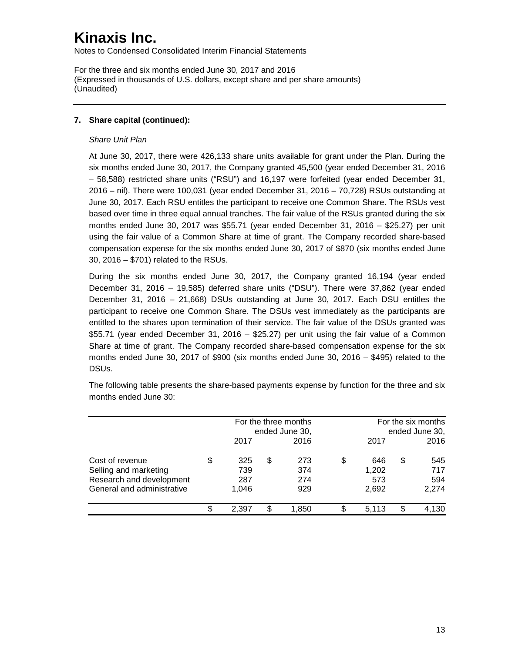Notes to Condensed Consolidated Interim Financial Statements

For the three and six months ended June 30, 2017 and 2016 (Expressed in thousands of U.S. dollars, except share and per share amounts) (Unaudited)

### **7. Share capital (continued):**

#### *Share Unit Plan*

At June 30, 2017, there were 426,133 share units available for grant under the Plan. During the six months ended June 30, 2017, the Company granted 45,500 (year ended December 31, 2016 – 58,588) restricted share units ("RSU") and 16,197 were forfeited (year ended December 31, 2016 – nil). There were 100,031 (year ended December 31, 2016 – 70,728) RSUs outstanding at June 30, 2017. Each RSU entitles the participant to receive one Common Share. The RSUs vest based over time in three equal annual tranches. The fair value of the RSUs granted during the six months ended June 30, 2017 was \$55.71 (year ended December 31, 2016 – \$25.27) per unit using the fair value of a Common Share at time of grant. The Company recorded share-based compensation expense for the six months ended June 30, 2017 of \$870 (six months ended June 30, 2016 – \$701) related to the RSUs.

During the six months ended June 30, 2017, the Company granted 16,194 (year ended December 31, 2016 – 19,585) deferred share units ("DSU"). There were 37,862 (year ended December 31, 2016 – 21,668) DSUs outstanding at June 30, 2017. Each DSU entitles the participant to receive one Common Share. The DSUs vest immediately as the participants are entitled to the shares upon termination of their service. The fair value of the DSUs granted was \$55.71 (year ended December 31, 2016 – \$25.27) per unit using the fair value of a Common Share at time of grant. The Company recorded share-based compensation expense for the six months ended June 30, 2017 of \$900 (six months ended June 30, 2016  $-$  \$495) related to the DSUs.

|                            |                |    | For the three months |   |                | For the six months |       |  |  |
|----------------------------|----------------|----|----------------------|---|----------------|--------------------|-------|--|--|
|                            | ended June 30, |    |                      |   | ended June 30, |                    |       |  |  |
|                            | 2017           |    | 2016                 |   | 2017           |                    | 2016  |  |  |
| Cost of revenue            | \$<br>325      | \$ | 273                  | S | 646            | \$                 | 545   |  |  |
| Selling and marketing      | 739            |    | 374                  |   | 1,202          |                    | 717   |  |  |
| Research and development   | 287            |    | 274                  |   | 573            |                    | 594   |  |  |
| General and administrative | 1,046          |    | 929                  |   | 2,692          |                    | 2,274 |  |  |
|                            | 2.397          | \$ | 1.850                |   | 5.113          | S                  | 4,130 |  |  |

The following table presents the share-based payments expense by function for the three and six months ended June 30: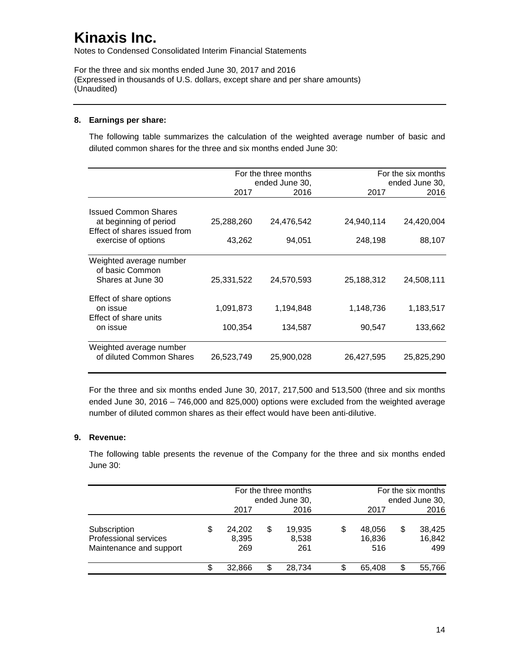Notes to Condensed Consolidated Interim Financial Statements

For the three and six months ended June 30, 2017 and 2016 (Expressed in thousands of U.S. dollars, except share and per share amounts) (Unaudited)

### **8. Earnings per share:**

The following table summarizes the calculation of the weighted average number of basic and diluted common shares for the three and six months ended June 30:

|                                                                                       |                      | For the three months<br>ended June 30, |                     | For the six months<br>ended June 30, |  |  |
|---------------------------------------------------------------------------------------|----------------------|----------------------------------------|---------------------|--------------------------------------|--|--|
|                                                                                       | 2017                 | 2016                                   | 2017                | 2016                                 |  |  |
| <b>Issued Common Shares</b><br>at beginning of period<br>Effect of shares issued from | 25,288,260           | 24,476,542                             | 24,940,114          | 24,420,004                           |  |  |
| exercise of options                                                                   | 43,262               | 94,051                                 | 248,198             | 88,107                               |  |  |
| Weighted average number<br>of basic Common<br>Shares at June 30                       | 25,331,522           | 24,570,593                             | 25,188,312          | 24,508,111                           |  |  |
| Effect of share options<br>on issue<br>Effect of share units<br>on issue              | 1,091,873<br>100,354 | 1,194,848<br>134,587                   | 1,148,736<br>90,547 | 1,183,517<br>133,662                 |  |  |
| Weighted average number<br>of diluted Common Shares                                   | 26,523,749           | 25,900,028                             | 26,427,595          | 25,825,290                           |  |  |

For the three and six months ended June 30, 2017, 217,500 and 513,500 (three and six months ended June 30, 2016 – 746,000 and 825,000) options were excluded from the weighted average number of diluted common shares as their effect would have been anti-dilutive.

### **9. Revenue:**

The following table presents the revenue of the Company for the three and six months ended June 30:

|                                                                  |    |                        | For the three months<br>ended June 30, |                        |    | For the six months<br>ended June 30, |    |                         |  |
|------------------------------------------------------------------|----|------------------------|----------------------------------------|------------------------|----|--------------------------------------|----|-------------------------|--|
|                                                                  |    | 2017                   |                                        | 2016                   |    | 2017                                 |    | 2016                    |  |
| Subscription<br>Professional services<br>Maintenance and support | \$ | 24,202<br>8,395<br>269 | S                                      | 19,935<br>8,538<br>261 | \$ | 48,056<br>16,836<br>516              | \$ | 38,425<br>16,842<br>499 |  |
|                                                                  | S  | 32,866                 | S                                      | 28.734                 |    | 65.408                               | \$ | 55,766                  |  |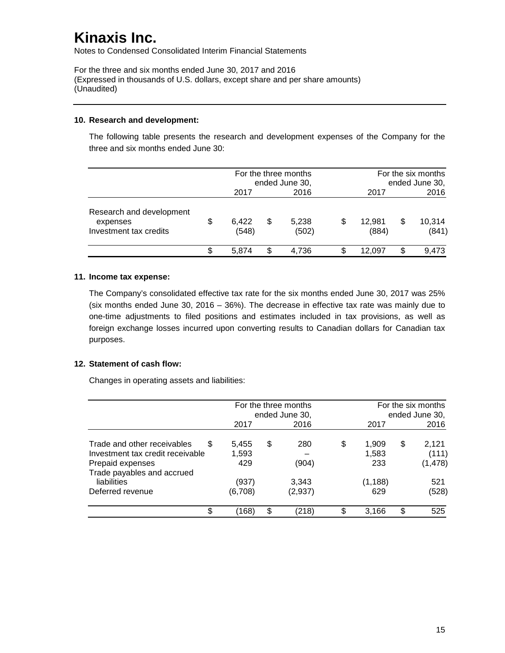Notes to Condensed Consolidated Interim Financial Statements

For the three and six months ended June 30, 2017 and 2016 (Expressed in thousands of U.S. dollars, except share and per share amounts) (Unaudited)

#### **10. Research and development:**

The following table presents the research and development expenses of the Company for the three and six months ended June 30:

|                                                                |    |                | For the three months<br>ended June 30, |                | For the six months<br>ended June 30, |   |                 |
|----------------------------------------------------------------|----|----------------|----------------------------------------|----------------|--------------------------------------|---|-----------------|
|                                                                |    | 2017           |                                        | 2016           | 2017                                 |   | 2016            |
| Research and development<br>expenses<br>Investment tax credits | \$ | 6,422<br>(548) | S                                      | 5,238<br>(502) | \$<br>12.981<br>(884)                | S | 10,314<br>(841) |
|                                                                | S  | 5.874          |                                        | 4.736          | 12.097                               | S | 9.473           |

### **11. Income tax expense:**

The Company's consolidated effective tax rate for the six months ended June 30, 2017 was 25% (six months ended June 30, 2016 – 36%). The decrease in effective tax rate was mainly due to one-time adjustments to filed positions and estimates included in tax provisions, as well as foreign exchange losses incurred upon converting results to Canadian dollars for Canadian tax purposes.

### **12. Statement of cash flow:**

Changes in operating assets and liabilities:

|                                                                                                                        | For the three months<br>ended June 30, |    |                  | For the six months<br>ended June 30, |    |                            |
|------------------------------------------------------------------------------------------------------------------------|----------------------------------------|----|------------------|--------------------------------------|----|----------------------------|
|                                                                                                                        | 2017                                   |    | 2016             | 2017                                 |    | 2016                       |
| Trade and other receivables<br>S<br>Investment tax credit receivable<br>Prepaid expenses<br>Trade payables and accrued | 5,455<br>1,593<br>429                  | \$ | 280<br>(904)     | \$<br>1,909<br>1,583<br>233          | \$ | 2,121<br>(111)<br>(1, 478) |
| liabilities<br>Deferred revenue                                                                                        | (937)<br>(6,708)                       |    | 3,343<br>(2,937) | (1, 188)<br>629                      |    | 521<br>(528)               |
| \$                                                                                                                     | (168)                                  | \$ | (218)            | 3,166                                | \$ | 525                        |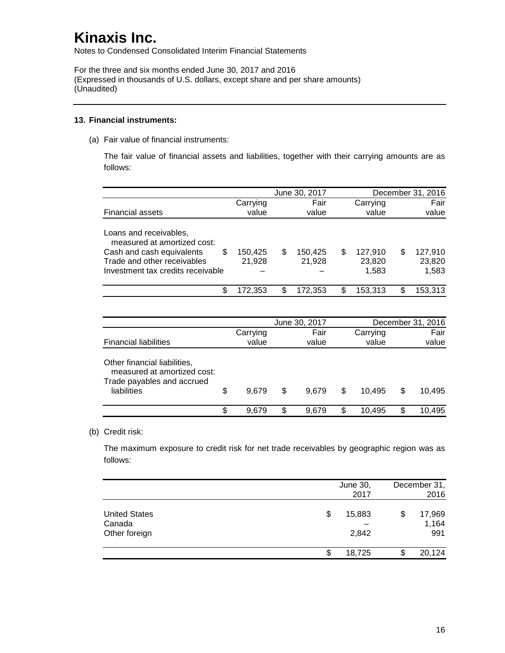Notes to Condensed Consolidated Interim Financial Statements

For the three and six months ended June 30, 2017 and 2016 (Expressed in thousands of U.S. dollars, except share and per share amounts) (Unaudited)

#### **13. Financial instruments:**

(a) Fair value of financial instruments:

The fair value of financial assets and liabilities, together with their carrying amounts are as follows:

|                                                                                                                                                              |                   |    | June 30, 2017     |    |                            | December 31, 2016 |                            |
|--------------------------------------------------------------------------------------------------------------------------------------------------------------|-------------------|----|-------------------|----|----------------------------|-------------------|----------------------------|
|                                                                                                                                                              | Carrying          |    | Fair              |    | Carrying                   |                   | Fair                       |
| <b>Financial assets</b>                                                                                                                                      | value             |    | value             |    | value                      |                   | value                      |
| Loans and receivables,<br>measured at amortized cost:<br>\$<br>Cash and cash equivalents<br>Trade and other receivables<br>Investment tax credits receivable | 150,425<br>21,928 | S  | 150,425<br>21,928 | S  | 127,910<br>23,820<br>1,583 | S                 | 127,910<br>23,820<br>1,583 |
| \$                                                                                                                                                           | 172,353           | \$ | 172,353           | \$ | 153,313                    | S                 | 153,313                    |
|                                                                                                                                                              |                   |    |                   |    |                            |                   |                            |

|             |   |       |    |          | December 31, 2016 |        |
|-------------|---|-------|----|----------|-------------------|--------|
| Carrying    |   | Fair  |    | Carrying |                   | Fair   |
| value       |   | value |    | value    |                   | value  |
| \$<br>9.679 | S | 9.679 | S  | 10.495   | S                 | 10.495 |
| \$<br>9.679 | S | 9,679 | \$ | 10.495   |                   | 10,495 |
|             |   |       |    |          |                   |        |

#### (b) Credit risk:

The maximum exposure to credit risk for net trade receivables by geographic region was as follows:

|                                                 | June 30,<br>2017      | December 31,<br>2016         |
|-------------------------------------------------|-----------------------|------------------------------|
| <b>United States</b><br>Canada<br>Other foreign | \$<br>15,883<br>2,842 | \$<br>17,969<br>1,164<br>991 |
|                                                 | 18,725                | 20,124                       |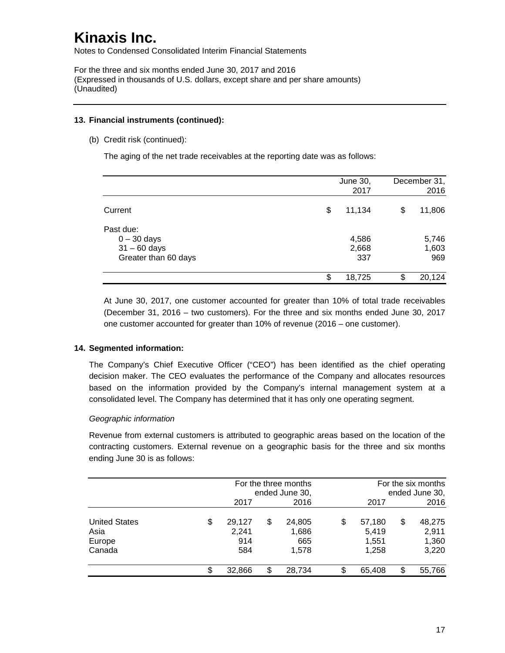Notes to Condensed Consolidated Interim Financial Statements

For the three and six months ended June 30, 2017 and 2016 (Expressed in thousands of U.S. dollars, except share and per share amounts) (Unaudited)

### **13. Financial instruments (continued):**

(b) Credit risk (continued):

The aging of the net trade receivables at the reporting date was as follows:

|                                                                      |    | June 30,<br>2017      |    | December 31,<br>2016  |
|----------------------------------------------------------------------|----|-----------------------|----|-----------------------|
| Current                                                              | \$ | 11,134                | \$ | 11,806                |
| Past due:<br>$0 - 30$ days<br>$31 - 60$ days<br>Greater than 60 days |    | 4,586<br>2,668<br>337 |    | 5,746<br>1,603<br>969 |
|                                                                      | S  | 18,725                | S  | 20,124                |

At June 30, 2017, one customer accounted for greater than 10% of total trade receivables (December 31, 2016 – two customers). For the three and six months ended June 30, 2017 one customer accounted for greater than 10% of revenue (2016 – one customer).

### **14. Segmented information:**

The Company's Chief Executive Officer ("CEO") has been identified as the chief operating decision maker. The CEO evaluates the performance of the Company and allocates resources based on the information provided by the Company's internal management system at a consolidated level. The Company has determined that it has only one operating segment.

### *Geographic information*

Revenue from external customers is attributed to geographic areas based on the location of the contracting customers. External revenue on a geographic basis for the three and six months ending June 30 is as follows:

|                                                  |    |                               | For the three months<br>ended June 30, |                                 |    | For the six months<br>ended June 30, |    |                                   |
|--------------------------------------------------|----|-------------------------------|----------------------------------------|---------------------------------|----|--------------------------------------|----|-----------------------------------|
|                                                  |    | 2017                          |                                        | 2016                            |    | 2017                                 |    | 2016                              |
| <b>United States</b><br>Asia<br>Europe<br>Canada | \$ | 29,127<br>2,241<br>914<br>584 | \$                                     | 24,805<br>1,686<br>665<br>1,578 | \$ | 57,180<br>5,419<br>1,551<br>1,258    | \$ | 48,275<br>2,911<br>1,360<br>3,220 |
|                                                  | S. | 32,866                        | \$                                     | 28,734                          | \$ | 65,408                               | \$ | 55,766                            |